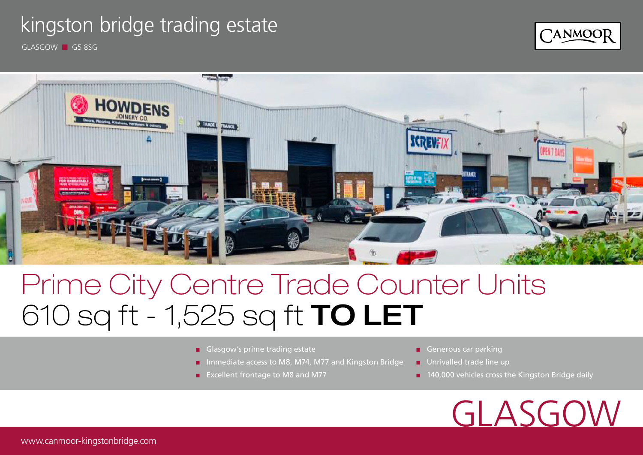### kingston bridge trading estate



GLASGOW ■ G5 8SG



# Prime City Centre Trade Counter Units 610 sq ft - 1,525 sq ft TO LET

- Glasgow's prime trading estate
- Immediate access to M8, M74, M77 and Kingston Bridge
- Excellent frontage to M8 and M77
- Generous car parking
- Unrivalled trade line up
- 140,000 vehicles cross the Kingston Bridge daily

GLASGOW